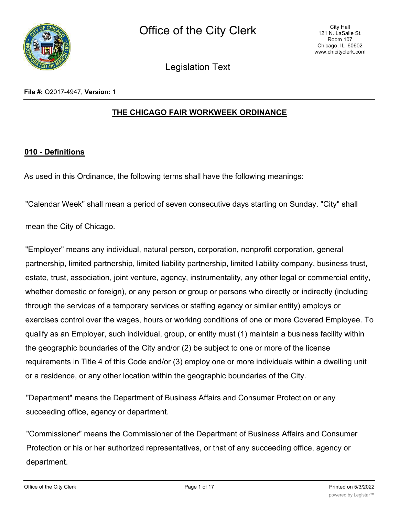

Legislation Text

**File #:** O2017-4947, **Version:** 1

## **THE CHICAGO FAIR WORKWEEK ORDINANCE**

#### **010 - Definitions**

As used in this Ordinance, the following terms shall have the following meanings:

"Calendar Week" shall mean a period of seven consecutive days starting on Sunday. "City" shall

mean the City of Chicago.

"Employer" means any individual, natural person, corporation, nonprofit corporation, general partnership, limited partnership, limited liability partnership, limited liability company, business trust, estate, trust, association, joint venture, agency, instrumentality, any other legal or commercial entity, whether domestic or foreign), or any person or group or persons who directly or indirectly (including through the services of a temporary services or staffing agency or similar entity) employs or exercises control over the wages, hours or working conditions of one or more Covered Employee. To qualify as an Employer, such individual, group, or entity must (1) maintain a business facility within the geographic boundaries of the City and/or (2) be subject to one or more of the license requirements in Title 4 of this Code and/or (3) employ one or more individuals within a dwelling unit or a residence, or any other location within the geographic boundaries of the City.

"Department" means the Department of Business Affairs and Consumer Protection or any succeeding office, agency or department.

"Commissioner" means the Commissioner of the Department of Business Affairs and Consumer Protection or his or her authorized representatives, or that of any succeeding office, agency or department.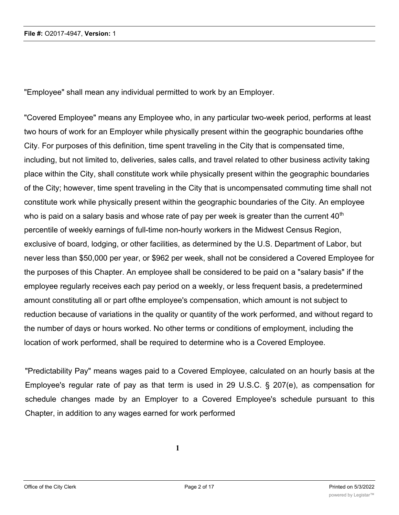"Employee" shall mean any individual permitted to work by an Employer.

"Covered Employee" means any Employee who, in any particular two-week period, performs at least two hours of work for an Employer while physically present within the geographic boundaries ofthe City. For purposes of this definition, time spent traveling in the City that is compensated time, including, but not limited to, deliveries, sales calls, and travel related to other business activity taking place within the City, shall constitute work while physically present within the geographic boundaries of the City; however, time spent traveling in the City that is uncompensated commuting time shall not constitute work while physically present within the geographic boundaries of the City. An employee who is paid on a salary basis and whose rate of pay per week is greater than the current  $40<sup>th</sup>$ percentile of weekly earnings of full-time non-hourly workers in the Midwest Census Region, exclusive of board, lodging, or other facilities, as determined by the U.S. Department of Labor, but never less than \$50,000 per year, or \$962 per week, shall not be considered a Covered Employee for the purposes of this Chapter. An employee shall be considered to be paid on a "salary basis" if the employee regularly receives each pay period on a weekly, or less frequent basis, a predetermined amount constituting all or part ofthe employee's compensation, which amount is not subject to reduction because of variations in the quality or quantity of the work performed, and without regard to the number of days or hours worked. No other terms or conditions of employment, including the location of work performed, shall be required to determine who is a Covered Employee.

"Predictability Pay" means wages paid to a Covered Employee, calculated on an hourly basis at the Employee's regular rate of pay as that term is used in 29 U.S.C. § 207(e), as compensation for schedule changes made by an Employer to a Covered Employee's schedule pursuant to this Chapter, in addition to any wages earned for work performed

**1**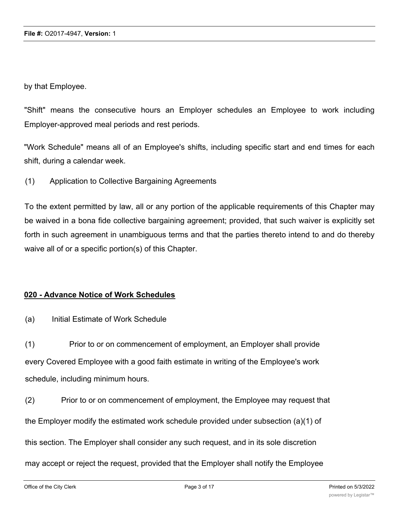by that Employee.

"Shift" means the consecutive hours an Employer schedules an Employee to work including Employer-approved meal periods and rest periods.

"Work Schedule" means all of an Employee's shifts, including specific start and end times for each shift, during a calendar week.

(1) Application to Collective Bargaining Agreements

To the extent permitted by law, all or any portion of the applicable requirements of this Chapter may be waived in a bona fide collective bargaining agreement; provided, that such waiver is explicitly set forth in such agreement in unambiguous terms and that the parties thereto intend to and do thereby waive all of or a specific portion(s) of this Chapter.

## **020 - Advance Notice of Work Schedules**

(a) Initial Estimate of Work Schedule

(1) Prior to or on commencement of employment, an Employer shall provide every Covered Employee with a good faith estimate in writing of the Employee's work schedule, including minimum hours.

(2) Prior to or on commencement of employment, the Employee may request that the Employer modify the estimated work schedule provided under subsection (a)(1) of this section. The Employer shall consider any such request, and in its sole discretion may accept or reject the request, provided that the Employer shall notify the Employee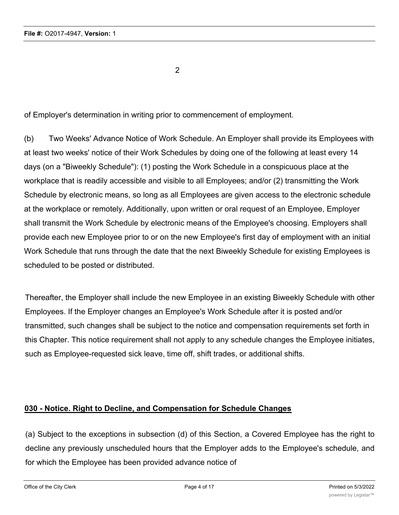2

of Employer's determination in writing prior to commencement of employment.

(b) Two Weeks' Advance Notice of Work Schedule. An Employer shall provide its Employees with at least two weeks' notice of their Work Schedules by doing one of the following at least every 14 days (on a "Biweekly Schedule"): (1) posting the Work Schedule in a conspicuous place at the workplace that is readily accessible and visible to all Employees; and/or (2) transmitting the Work Schedule by electronic means, so long as all Employees are given access to the electronic schedule at the workplace or remotely. Additionally, upon written or oral request of an Employee, Employer shall transmit the Work Schedule by electronic means of the Employee's choosing. Employers shall provide each new Employee prior to or on the new Employee's first day of employment with an initial Work Schedule that runs through the date that the next Biweekly Schedule for existing Employees is scheduled to be posted or distributed.

Thereafter, the Employer shall include the new Employee in an existing Biweekly Schedule with other Employees. If the Employer changes an Employee's Work Schedule after it is posted and/or transmitted, such changes shall be subject to the notice and compensation requirements set forth in this Chapter. This notice requirement shall not apply to any schedule changes the Employee initiates, such as Employee-requested sick leave, time off, shift trades, or additional shifts.

## **030 - Notice. Right to Decline, and Compensation for Schedule Changes**

(a) Subject to the exceptions in subsection (d) of this Section, a Covered Employee has the right to decline any previously unscheduled hours that the Employer adds to the Employee's schedule, and for which the Employee has been provided advance notice of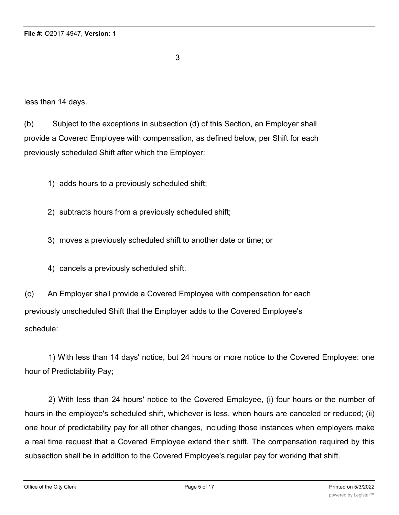3

less than 14 days.

(b) Subject to the exceptions in subsection (d) of this Section, an Employer shall provide a Covered Employee with compensation, as defined below, per Shift for each previously scheduled Shift after which the Employer:

1) adds hours to a previously scheduled shift;

2) subtracts hours from a previously scheduled shift;

- 3) moves a previously scheduled shift to another date or time; or
- 4) cancels a previously scheduled shift.

(c) An Employer shall provide a Covered Employee with compensation for each previously unscheduled Shift that the Employer adds to the Covered Employee's schedule:

1) With less than 14 days' notice, but 24 hours or more notice to the Covered Employee: one hour of Predictability Pay;

2) With less than 24 hours' notice to the Covered Employee, (i) four hours or the number of hours in the employee's scheduled shift, whichever is less, when hours are canceled or reduced; (ii) one hour of predictability pay for all other changes, including those instances when employers make a real time request that a Covered Employee extend their shift. The compensation required by this subsection shall be in addition to the Covered Employee's regular pay for working that shift.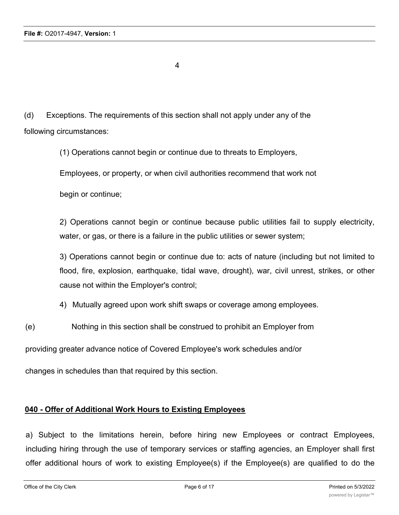4

(d) Exceptions. The requirements of this section shall not apply under any of the following circumstances:

(1) Operations cannot begin or continue due to threats to Employers,

Employees, or property, or when civil authorities recommend that work not

begin or continue;

2) Operations cannot begin or continue because public utilities fail to supply electricity, water, or gas, or there is a failure in the public utilities or sewer system;

3) Operations cannot begin or continue due to: acts of nature (including but not limited to flood, fire, explosion, earthquake, tidal wave, drought), war, civil unrest, strikes, or other cause not within the Employer's control;

- 4) Mutually agreed upon work shift swaps or coverage among employees.
- (e) Nothing in this section shall be construed to prohibit an Employer from

providing greater advance notice of Covered Employee's work schedules and/or

changes in schedules than that required by this section.

## **040 - Offer of Additional Work Hours to Existing Employees**

a) Subject to the limitations herein, before hiring new Employees or contract Employees, including hiring through the use of temporary services or staffing agencies, an Employer shall first offer additional hours of work to existing Employee(s) if the Employee(s) are qualified to do the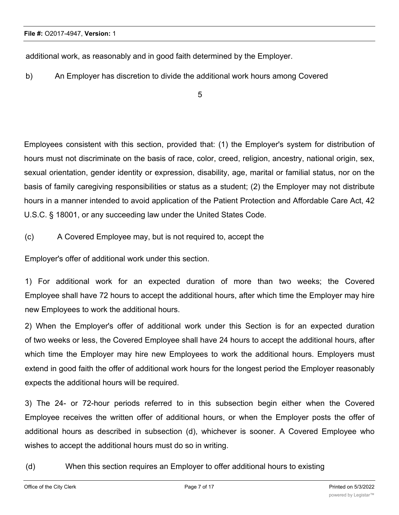additional work, as reasonably and in good faith determined by the Employer.

b) An Employer has discretion to divide the additional work hours among Covered

5

Employees consistent with this section, provided that: (1) the Employer's system for distribution of hours must not discriminate on the basis of race, color, creed, religion, ancestry, national origin, sex, sexual orientation, gender identity or expression, disability, age, marital or familial status, nor on the basis of family caregiving responsibilities or status as a student; (2) the Employer may not distribute hours in a manner intended to avoid application of the Patient Protection and Affordable Care Act, 42 U.S.C. § 18001, or any succeeding law under the United States Code.

(c) A Covered Employee may, but is not required to, accept the

Employer's offer of additional work under this section.

1) For additional work for an expected duration of more than two weeks; the Covered Employee shall have 72 hours to accept the additional hours, after which time the Employer may hire new Employees to work the additional hours.

2) When the Employer's offer of additional work under this Section is for an expected duration of two weeks or less, the Covered Employee shall have 24 hours to accept the additional hours, after which time the Employer may hire new Employees to work the additional hours. Employers must extend in good faith the offer of additional work hours for the longest period the Employer reasonably expects the additional hours will be required.

3) The 24- or 72-hour periods referred to in this subsection begin either when the Covered Employee receives the written offer of additional hours, or when the Employer posts the offer of additional hours as described in subsection (d), whichever is sooner. A Covered Employee who wishes to accept the additional hours must do so in writing.

(d) When this section requires an Employer to offer additional hours to existing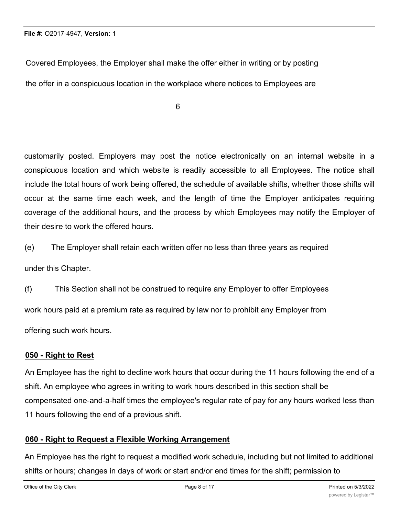Covered Employees, the Employer shall make the offer either in writing or by posting the offer in a conspicuous location in the workplace where notices to Employees are

6

customarily posted. Employers may post the notice electronically on an internal website in a conspicuous location and which website is readily accessible to all Employees. The notice shall include the total hours of work being offered, the schedule of available shifts, whether those shifts will occur at the same time each week, and the length of time the Employer anticipates requiring coverage of the additional hours, and the process by which Employees may notify the Employer of their desire to work the offered hours.

(e) The Employer shall retain each written offer no less than three years as required

under this Chapter.

(f) This Section shall not be construed to require any Employer to offer Employees work hours paid at a premium rate as required by law nor to prohibit any Employer from offering such work hours.

## **050 - Right to Rest**

An Employee has the right to decline work hours that occur during the 11 hours following the end of a shift. An employee who agrees in writing to work hours described in this section shall be compensated one-and-a-half times the employee's regular rate of pay for any hours worked less than 11 hours following the end of a previous shift.

## **060 - Right to Request a Flexible Working Arrangement**

An Employee has the right to request a modified work schedule, including but not limited to additional shifts or hours; changes in days of work or start and/or end times for the shift; permission to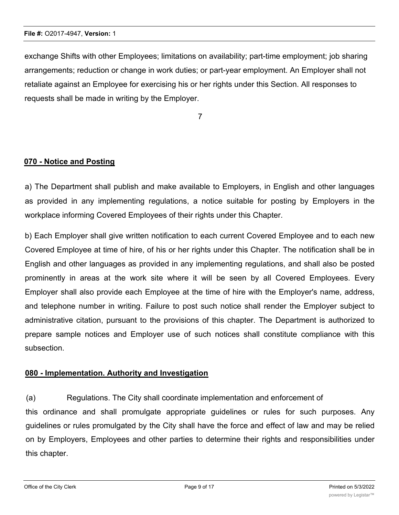exchange Shifts with other Employees; limitations on availability; part-time employment; job sharing arrangements; reduction or change in work duties; or part-year employment. An Employer shall not retaliate against an Employee for exercising his or her rights under this Section. All responses to requests shall be made in writing by the Employer.

7

# **070 - Notice and Posting**

a) The Department shall publish and make available to Employers, in English and other languages as provided in any implementing regulations, a notice suitable for posting by Employers in the workplace informing Covered Employees of their rights under this Chapter.

b) Each Employer shall give written notification to each current Covered Employee and to each new Covered Employee at time of hire, of his or her rights under this Chapter. The notification shall be in English and other languages as provided in any implementing regulations, and shall also be posted prominently in areas at the work site where it will be seen by all Covered Employees. Every Employer shall also provide each Employee at the time of hire with the Employer's name, address, and telephone number in writing. Failure to post such notice shall render the Employer subject to administrative citation, pursuant to the provisions of this chapter. The Department is authorized to prepare sample notices and Employer use of such notices shall constitute compliance with this subsection.

## **080 - Implementation. Authority and Investigation**

(a) Regulations. The City shall coordinate implementation and enforcement of this ordinance and shall promulgate appropriate guidelines or rules for such purposes. Any guidelines or rules promulgated by the City shall have the force and effect of law and may be relied on by Employers, Employees and other parties to determine their rights and responsibilities under this chapter.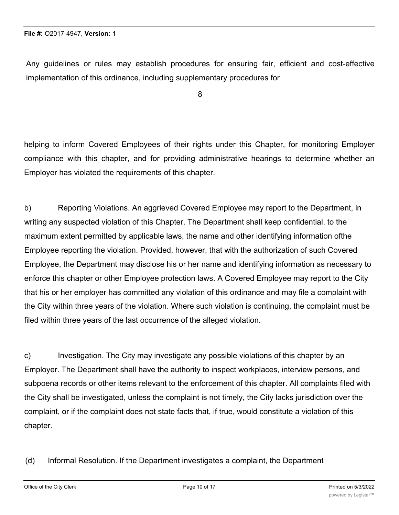Any guidelines or rules may establish procedures for ensuring fair, efficient and cost-effective implementation of this ordinance, including supplementary procedures for

8

helping to inform Covered Employees of their rights under this Chapter, for monitoring Employer compliance with this chapter, and for providing administrative hearings to determine whether an Employer has violated the requirements of this chapter.

b) Reporting Violations. An aggrieved Covered Employee may report to the Department, in writing any suspected violation of this Chapter. The Department shall keep confidential, to the maximum extent permitted by applicable laws, the name and other identifying information ofthe Employee reporting the violation. Provided, however, that with the authorization of such Covered Employee, the Department may disclose his or her name and identifying information as necessary to enforce this chapter or other Employee protection laws. A Covered Employee may report to the City that his or her employer has committed any violation of this ordinance and may file a complaint with the City within three years of the violation. Where such violation is continuing, the complaint must be filed within three years of the last occurrence of the alleged violation.

c) Investigation. The City may investigate any possible violations of this chapter by an Employer. The Department shall have the authority to inspect workplaces, interview persons, and subpoena records or other items relevant to the enforcement of this chapter. All complaints filed with the City shall be investigated, unless the complaint is not timely, the City lacks jurisdiction over the complaint, or if the complaint does not state facts that, if true, would constitute a violation of this chapter.

(d) Informal Resolution. If the Department investigates a complaint, the Department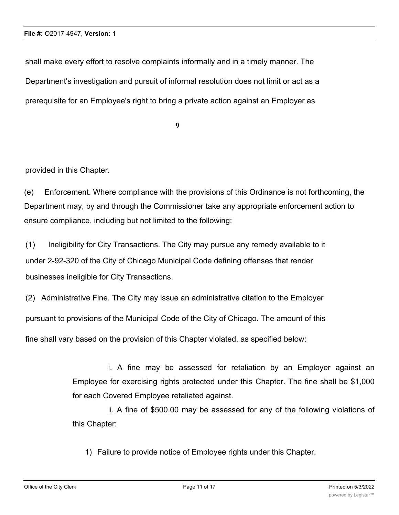shall make every effort to resolve complaints informally and in a timely manner. The Department's investigation and pursuit of informal resolution does not limit or act as a prerequisite for an Employee's right to bring a private action against an Employer as

**9**

provided in this Chapter.

(e) Enforcement. Where compliance with the provisions of this Ordinance is not forthcoming, the Department may, by and through the Commissioner take any appropriate enforcement action to ensure compliance, including but not limited to the following:

(1) Ineligibility for City Transactions. The City may pursue any remedy available to it under 2-92-320 of the City of Chicago Municipal Code defining offenses that render businesses ineligible for City Transactions.

(2) Administrative Fine. The City may issue an administrative citation to the Employer

pursuant to provisions of the Municipal Code of the City of Chicago. The amount of this

fine shall vary based on the provision of this Chapter violated, as specified below:

i. A fine may be assessed for retaliation by an Employer against an Employee for exercising rights protected under this Chapter. The fine shall be \$1,000 for each Covered Employee retaliated against.

ii. A fine of \$500.00 may be assessed for any of the following violations of this Chapter:

1) Failure to provide notice of Employee rights under this Chapter.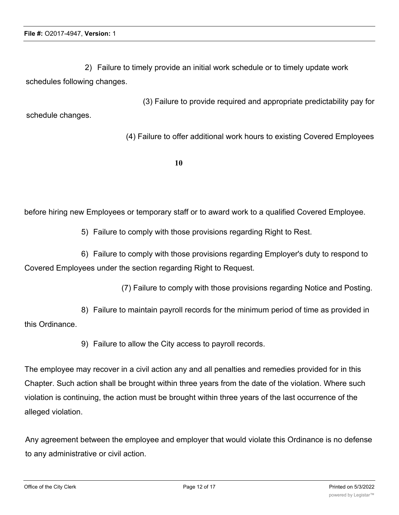2) Failure to timely provide an initial work schedule or to timely update work schedules following changes.

(3) Failure to provide required and appropriate predictability pay for schedule changes.

(4) Failure to offer additional work hours to existing Covered Employees

**10**

before hiring new Employees or temporary staff or to award work to a qualified Covered Employee.

5) Failure to comply with those provisions regarding Right to Rest.

6) Failure to comply with those provisions regarding Employer's duty to respond to Covered Employees under the section regarding Right to Request.

(7) Failure to comply with those provisions regarding Notice and Posting.

8) Failure to maintain payroll records for the minimum period of time as provided in this Ordinance.

9) Failure to allow the City access to payroll records.

The employee may recover in a civil action any and all penalties and remedies provided for in this Chapter. Such action shall be brought within three years from the date of the violation. Where such violation is continuing, the action must be brought within three years of the last occurrence of the alleged violation.

Any agreement between the employee and employer that would violate this Ordinance is no defense to any administrative or civil action.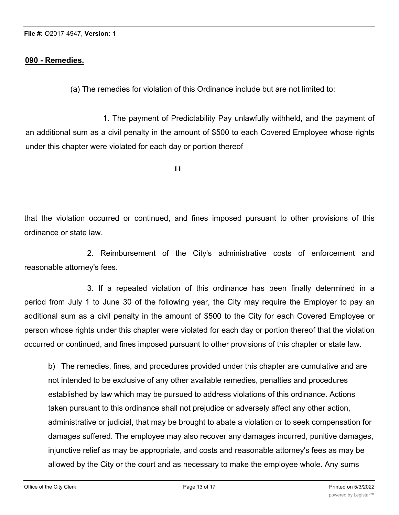#### **090 - Remedies.**

(a) The remedies for violation of this Ordinance include but are not limited to:

1. The payment of Predictability Pay unlawfully withheld, and the payment of an additional sum as a civil penalty in the amount of \$500 to each Covered Employee whose rights under this chapter were violated for each day or portion thereof

**11**

that the violation occurred or continued, and fines imposed pursuant to other provisions of this ordinance or state law.

2. Reimbursement of the City's administrative costs of enforcement and reasonable attorney's fees.

3. If a repeated violation of this ordinance has been finally determined in a period from July 1 to June 30 of the following year, the City may require the Employer to pay an additional sum as a civil penalty in the amount of \$500 to the City for each Covered Employee or person whose rights under this chapter were violated for each day or portion thereof that the violation occurred or continued, and fines imposed pursuant to other provisions of this chapter or state law.

b) The remedies, fines, and procedures provided under this chapter are cumulative and are not intended to be exclusive of any other available remedies, penalties and procedures established by law which may be pursued to address violations of this ordinance. Actions taken pursuant to this ordinance shall not prejudice or adversely affect any other action, administrative or judicial, that may be brought to abate a violation or to seek compensation for damages suffered. The employee may also recover any damages incurred, punitive damages, injunctive relief as may be appropriate, and costs and reasonable attorney's fees as may be allowed by the City or the court and as necessary to make the employee whole. Any sums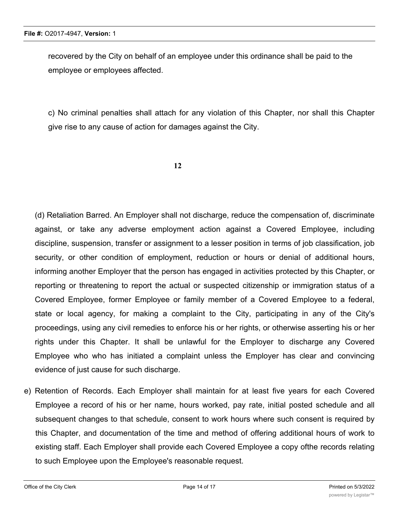recovered by the City on behalf of an employee under this ordinance shall be paid to the employee or employees affected.

c) No criminal penalties shall attach for any violation of this Chapter, nor shall this Chapter give rise to any cause of action for damages against the City.

**12**

(d) Retaliation Barred. An Employer shall not discharge, reduce the compensation of, discriminate against, or take any adverse employment action against a Covered Employee, including discipline, suspension, transfer or assignment to a lesser position in terms of job classification, job security, or other condition of employment, reduction or hours or denial of additional hours, informing another Employer that the person has engaged in activities protected by this Chapter, or reporting or threatening to report the actual or suspected citizenship or immigration status of a Covered Employee, former Employee or family member of a Covered Employee to a federal, state or local agency, for making a complaint to the City, participating in any of the City's proceedings, using any civil remedies to enforce his or her rights, or otherwise asserting his or her rights under this Chapter. It shall be unlawful for the Employer to discharge any Covered Employee who who has initiated a complaint unless the Employer has clear and convincing evidence of just cause for such discharge.

e) Retention of Records. Each Employer shall maintain for at least five years for each Covered Employee a record of his or her name, hours worked, pay rate, initial posted schedule and all subsequent changes to that schedule, consent to work hours where such consent is required by this Chapter, and documentation of the time and method of offering additional hours of work to existing staff. Each Employer shall provide each Covered Employee a copy ofthe records relating to such Employee upon the Employee's reasonable request.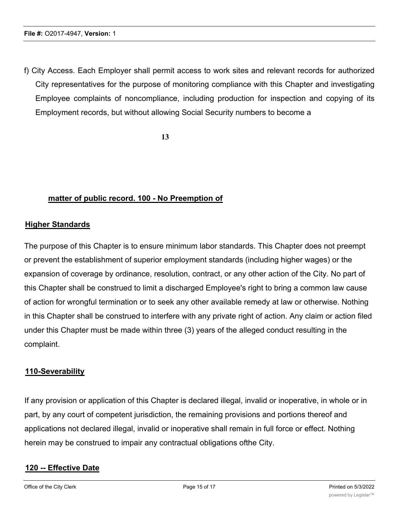f) City Access. Each Employer shall permit access to work sites and relevant records for authorized City representatives for the purpose of monitoring compliance with this Chapter and investigating Employee complaints of noncompliance, including production for inspection and copying of its Employment records, but without allowing Social Security numbers to become a

**13**

#### **matter of public record. 100 - No Preemption of**

#### **Higher Standards**

The purpose of this Chapter is to ensure minimum labor standards. This Chapter does not preempt or prevent the establishment of superior employment standards (including higher wages) or the expansion of coverage by ordinance, resolution, contract, or any other action of the City. No part of this Chapter shall be construed to limit a discharged Employee's right to bring a common law cause of action for wrongful termination or to seek any other available remedy at law or otherwise. Nothing in this Chapter shall be construed to interfere with any private right of action. Any claim or action filed under this Chapter must be made within three (3) years of the alleged conduct resulting in the complaint.

#### **110-Severability**

If any provision or application of this Chapter is declared illegal, invalid or inoperative, in whole or in part, by any court of competent jurisdiction, the remaining provisions and portions thereof and applications not declared illegal, invalid or inoperative shall remain in full force or effect. Nothing herein may be construed to impair any contractual obligations ofthe City.

#### **120 -- Effective Date**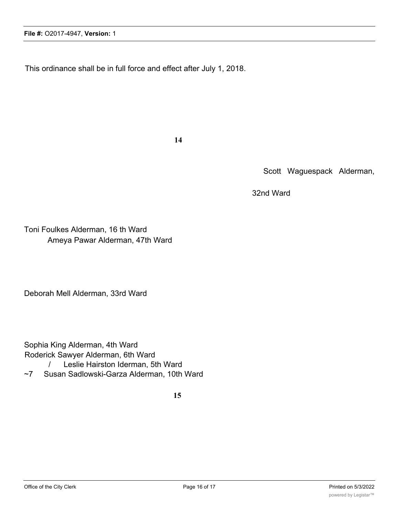This ordinance shall be in full force and effect after July 1, 2018.

**14**

Scott Waguespack Alderman,

32nd Ward

Toni Foulkes Alderman, 16 th Ward Ameya Pawar Alderman, 47th Ward

Deborah Mell Alderman, 33rd Ward

Sophia King Alderman, 4th Ward Roderick Sawyer Alderman, 6th Ward / Leslie Hairston Iderman, 5th Ward ~7 Susan Sadlowski-Garza Alderman, 10th Ward

**15**